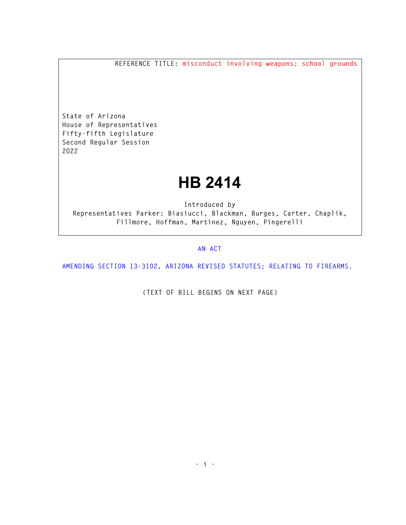**REFERENCE TITLE: misconduct involving weapons; school grounds** 

**State of Arizona House of Representatives Fifty-fifth Legislature Second Regular Session 2022** 

## **HB 2414**

**Introduced by Representatives Parker: Biasiucci, Blackman, Burges, Carter, Chaplik, Fillmore, Hoffman, Martinez, Nguyen, Pingerelli** 

## **AN ACT**

**AMENDING SECTION 13-3102, ARIZONA REVISED STATUTES; RELATING TO FIREARMS.** 

**(TEXT OF BILL BEGINS ON NEXT PAGE)**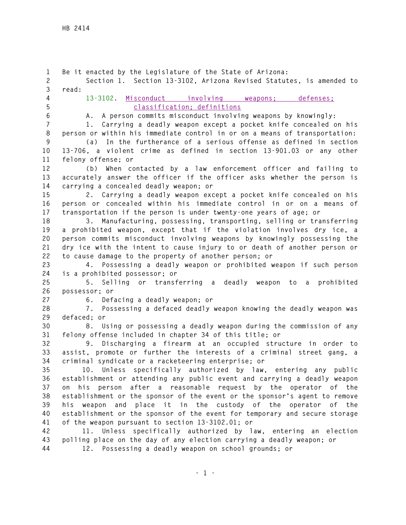**1 Be it enacted by the Legislature of the State of Arizona: 2 Section 1. Section 13-3102, Arizona Revised Statutes, is amended to 3 read: 4 13-3102. Misconduct involving weapons; defenses; 5 classification; definitions 6 A. A person commits misconduct involving weapons by knowingly: 7 1. Carrying a deadly weapon except a pocket knife concealed on his 8 person or within his immediate control in or on a means of transportation: 9 (a) In the furtherance of a serious offense as defined in section 10 13-706, a violent crime as defined in section 13-901.03 or any other 11 felony offense; or 12 (b) When contacted by a law enforcement officer and failing to 13 accurately answer the officer if the officer asks whether the person is 14 carrying a concealed deadly weapon; or 15 2. Carrying a deadly weapon except a pocket knife concealed on his 16 person or concealed within his immediate control in or on a means of 17 transportation if the person is under twenty-one years of age; or 18 3. Manufacturing, possessing, transporting, selling or transferring 19 a prohibited weapon, except that if the violation involves dry ice, a 20 person commits misconduct involving weapons by knowingly possessing the 21 dry ice with the intent to cause injury to or death of another person or 22 to cause damage to the property of another person; or 23 4. Possessing a deadly weapon or prohibited weapon if such person 24 is a prohibited possessor; or 25 5. Selling or transferring a deadly weapon to a prohibited 26 possessor; or 27 6. Defacing a deadly weapon; or 28 7. Possessing a defaced deadly weapon knowing the deadly weapon was 29 defaced; or 30 8. Using or possessing a deadly weapon during the commission of any 31 felony offense included in chapter 34 of this title; or 32 9. Discharging a firearm at an occupied structure in order to 33 assist, promote or further the interests of a criminal street gang, a 34 criminal syndicate or a racketeering enterprise; or 35 10. Unless specifically authorized by law, entering any public 36 establishment or attending any public event and carrying a deadly weapon 37 on his person after a reasonable request by the operator of the 38 establishment or the sponsor of the event or the sponsor's agent to remove 39 his weapon and place it in the custody of the operator of the 40 establishment or the sponsor of the event for temporary and secure storage 41 of the weapon pursuant to section 13-3102.01; or 42 11. Unless specifically authorized by law, entering an election 43 polling place on the day of any election carrying a deadly weapon; or 44 12. Possessing a deadly weapon on school grounds; or**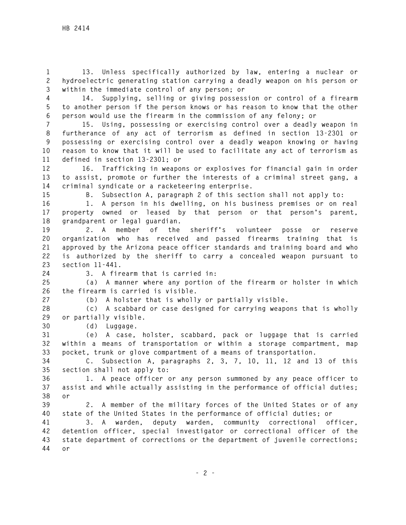**1 13. Unless specifically authorized by law, entering a nuclear or 2 hydroelectric generating station carrying a deadly weapon on his person or 3 within the immediate control of any person; or** 

**4 14. Supplying, selling or giving possession or control of a firearm 5 to another person if the person knows or has reason to know that the other 6 person would use the firearm in the commission of any felony; or** 

**7 15. Using, possessing or exercising control over a deadly weapon in 8 furtherance of any act of terrorism as defined in section 13-2301 or 9 possessing or exercising control over a deadly weapon knowing or having 10 reason to know that it will be used to facilitate any act of terrorism as 11 defined in section 13-2301; or** 

**12 16. Trafficking in weapons or explosives for financial gain in order 13 to assist, promote or further the interests of a criminal street gang, a 14 criminal syndicate or a racketeering enterprise.** 

**15 B. Subsection A, paragraph 2 of this section shall not apply to:** 

**16 1. A person in his dwelling, on his business premises or on real 17 property owned or leased by that person or that person's parent, 18 grandparent or legal guardian.** 

**19 2. A member of the sheriff's volunteer posse or reserve 20 organization who has received and passed firearms training that is 21 approved by the Arizona peace officer standards and training board and who 22 is authorized by the sheriff to carry a concealed weapon pursuant to 23 section 11-441.** 

**24 3. A firearm that is carried in:** 

**25 (a) A manner where any portion of the firearm or holster in which 26 the firearm is carried is visible.** 

**27 (b) A holster that is wholly or partially visible.** 

**28 (c) A scabbard or case designed for carrying weapons that is wholly 29 or partially visible.** 

**30 (d) Luggage.** 

**31 (e) A case, holster, scabbard, pack or luggage that is carried 32 within a means of transportation or within a storage compartment, map 33 pocket, trunk or glove compartment of a means of transportation.** 

**34 C. Subsection A, paragraphs 2, 3, 7, 10, 11, 12 and 13 of this 35 section shall not apply to:** 

**36 1. A peace officer or any person summoned by any peace officer to 37 assist and while actually assisting in the performance of official duties; 38 or** 

**39 2. A member of the military forces of the United States or of any 40 state of the United States in the performance of official duties; or** 

**41 3. A warden, deputy warden, community correctional officer, 42 detention officer, special investigator or correctional officer of the 43 state department of corrections or the department of juvenile corrections; 44 or**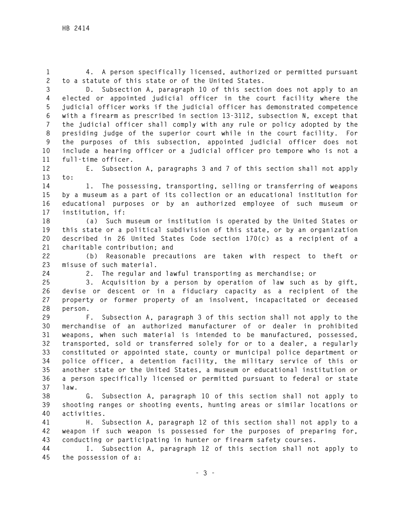**1 4. A person specifically licensed, authorized or permitted pursuant 2 to a statute of this state or of the United States.** 

**3 D. Subsection A, paragraph 10 of this section does not apply to an 4 elected or appointed judicial officer in the court facility where the 5 judicial officer works if the judicial officer has demonstrated competence 6 with a firearm as prescribed in section 13-3112, subsection N, except that 7 the judicial officer shall comply with any rule or policy adopted by the 8 presiding judge of the superior court while in the court facility. For 9 the purposes of this subsection, appointed judicial officer does not 10 include a hearing officer or a judicial officer pro tempore who is not a 11 full-time officer.** 

**12 E. Subsection A, paragraphs 3 and 7 of this section shall not apply 13 to:** 

**14 1. The possessing, transporting, selling or transferring of weapons 15 by a museum as a part of its collection or an educational institution for 16 educational purposes or by an authorized employee of such museum or 17 institution, if:** 

**18 (a) Such museum or institution is operated by the United States or 19 this state or a political subdivision of this state, or by an organization 20 described in 26 United States Code section 170(c) as a recipient of a 21 charitable contribution; and** 

**22 (b) Reasonable precautions are taken with respect to theft or 23 misuse of such material.** 

**24 2. The regular and lawful transporting as merchandise; or** 

**25 3. Acquisition by a person by operation of law such as by gift, 26 devise or descent or in a fiduciary capacity as a recipient of the 27 property or former property of an insolvent, incapacitated or deceased 28 person.** 

**29 F. Subsection A, paragraph 3 of this section shall not apply to the 30 merchandise of an authorized manufacturer of or dealer in prohibited 31 weapons, when such material is intended to be manufactured, possessed, 32 transported, sold or transferred solely for or to a dealer, a regularly 33 constituted or appointed state, county or municipal police department or 34 police officer, a detention facility, the military service of this or 35 another state or the United States, a museum or educational institution or 36 a person specifically licensed or permitted pursuant to federal or state 37 law.** 

**38 G. Subsection A, paragraph 10 of this section shall not apply to 39 shooting ranges or shooting events, hunting areas or similar locations or 40 activities.** 

**41 H. Subsection A, paragraph 12 of this section shall not apply to a 42 weapon if such weapon is possessed for the purposes of preparing for, 43 conducting or participating in hunter or firearm safety courses.** 

**44 I. Subsection A, paragraph 12 of this section shall not apply to 45 the possession of a:**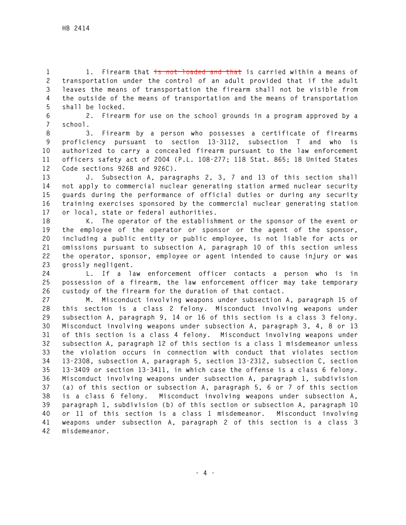**1 1. Firearm that is not loaded and that is carried within a means of 2 transportation under the control of an adult provided that if the adult 3 leaves the means of transportation the firearm shall not be visible from 4 the outside of the means of transportation and the means of transportation 5 shall be locked.** 

**6 2. Firearm for use on the school grounds in a program approved by a 7 school.** 

**8 3. Firearm by a person who possesses a certificate of firearms 9 proficiency pursuant to section 13-3112, subsection T and who is 10 authorized to carry a concealed firearm pursuant to the law enforcement 11 officers safety act of 2004 (P.L. 108-277; 118 Stat. 865; 18 United States 12 Code sections 926B and 926C).** 

**13 J. Subsection A, paragraphs 2, 3, 7 and 13 of this section shall 14 not apply to commercial nuclear generating station armed nuclear security 15 guards during the performance of official duties or during any security 16 training exercises sponsored by the commercial nuclear generating station 17 or local, state or federal authorities.** 

**18 K. The operator of the establishment or the sponsor of the event or 19 the employee of the operator or sponsor or the agent of the sponsor, 20 including a public entity or public employee, is not liable for acts or 21 omissions pursuant to subsection A, paragraph 10 of this section unless 22 the operator, sponsor, employee or agent intended to cause injury or was 23 grossly negligent.** 

**24 L. If a law enforcement officer contacts a person who is in 25 possession of a firearm, the law enforcement officer may take temporary 26 custody of the firearm for the duration of that contact.** 

**27 M. Misconduct involving weapons under subsection A, paragraph 15 of 28 this section is a class 2 felony. Misconduct involving weapons under 29 subsection A, paragraph 9, 14 or 16 of this section is a class 3 felony. 30 Misconduct involving weapons under subsection A, paragraph 3, 4, 8 or 13 31 of this section is a class 4 felony. Misconduct involving weapons under 32 subsection A, paragraph 12 of this section is a class 1 misdemeanor unless 33 the violation occurs in connection with conduct that violates section 34 13-2308, subsection A, paragraph 5, section 13-2312, subsection C, section 35 13-3409 or section 13-3411, in which case the offense is a class 6 felony. 36 Misconduct involving weapons under subsection A, paragraph 1, subdivision 37 (a) of this section or subsection A, paragraph 5, 6 or 7 of this section 38 is a class 6 felony. Misconduct involving weapons under subsection A, 39 paragraph 1, subdivision (b) of this section or subsection A, paragraph 10 40 or 11 of this section is a class 1 misdemeanor. Misconduct involving 41 weapons under subsection A, paragraph 2 of this section is a class 3 42 misdemeanor.**